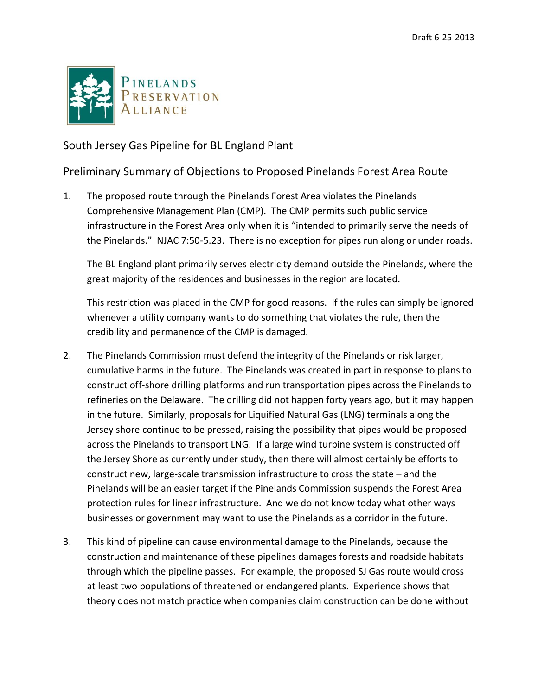

South Jersey Gas Pipeline for BL England Plant

## Preliminary Summary of Objections to Proposed Pinelands Forest Area Route

1. The proposed route through the Pinelands Forest Area violates the Pinelands Comprehensive Management Plan (CMP). The CMP permits such public service infrastructure in the Forest Area only when it is "intended to primarily serve the needs of the Pinelands." NJAC 7:50-5.23. There is no exception for pipes run along or under roads.

The BL England plant primarily serves electricity demand outside the Pinelands, where the great majority of the residences and businesses in the region are located.

This restriction was placed in the CMP for good reasons. If the rules can simply be ignored whenever a utility company wants to do something that violates the rule, then the credibility and permanence of the CMP is damaged.

- 2. The Pinelands Commission must defend the integrity of the Pinelands or risk larger, cumulative harms in the future. The Pinelands was created in part in response to plans to construct off-shore drilling platforms and run transportation pipes across the Pinelands to refineries on the Delaware. The drilling did not happen forty years ago, but it may happen in the future. Similarly, proposals for Liquified Natural Gas (LNG) terminals along the Jersey shore continue to be pressed, raising the possibility that pipes would be proposed across the Pinelands to transport LNG. If a large wind turbine system is constructed off the Jersey Shore as currently under study, then there will almost certainly be efforts to construct new, large-scale transmission infrastructure to cross the state – and the Pinelands will be an easier target if the Pinelands Commission suspends the Forest Area protection rules for linear infrastructure. And we do not know today what other ways businesses or government may want to use the Pinelands as a corridor in the future.
- 3. This kind of pipeline can cause environmental damage to the Pinelands, because the construction and maintenance of these pipelines damages forests and roadside habitats through which the pipeline passes. For example, the proposed SJ Gas route would cross at least two populations of threatened or endangered plants. Experience shows that theory does not match practice when companies claim construction can be done without